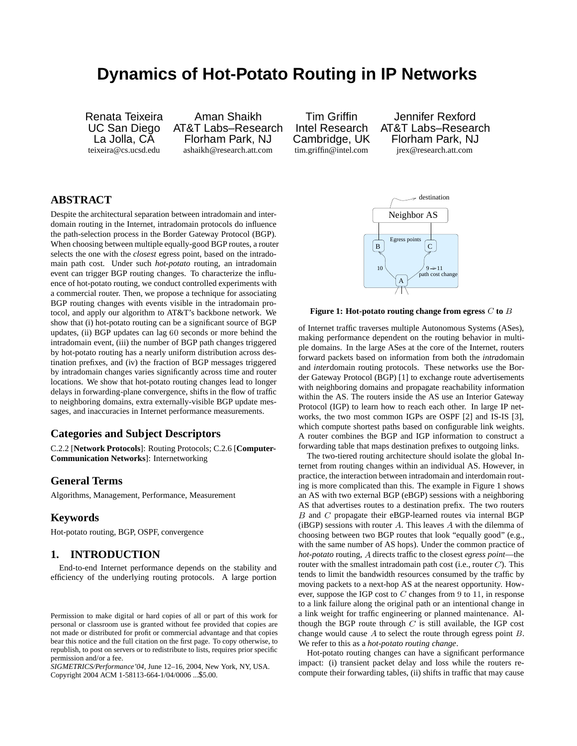# **Dynamics of Hot-Potato Routing in IP Networks**

Renata Teixeira Aman Shaikh Tim Griffin Jennifer Rexford La Jolla, CĂ Florham Park, NJ Cambridge, UK<br>teixeira@cs.ucsd.edu ashaikh@research.att.com tim.griffin@intel.com

UC San Diego AT&T Labs–Research Intel Research AT&T Labs–Research jrex@research.att.com

# **ABSTRACT**

Despite the architectural separation between intradomain and interdomain routing in the Internet, intradomain protocols do influence the path-selection process in the Border Gateway Protocol (BGP). When choosing between multiple equally-good BGP routes, a router selects the one with the *closest* egress point, based on the intradomain path cost. Under such *hot-potato* routing, an intradomain event can trigger BGP routing changes. To characterize the influence of hot-potato routing, we conduct controlled experiments with a commercial router. Then, we propose a technique for associating BGP routing changes with events visible in the intradomain protocol, and apply our algorithm to AT&T's backbone network. We show that (i) hot-potato routing can be a significant source of BGP updates, (ii) BGP updates can lag 60 seconds or more behind the intradomain event, (iii) the number of BGP path changes triggered by hot-potato routing has a nearly uniform distribution across destination prefixes, and (iv) the fraction of BGP messages triggered by intradomain changes varies significantly across time and router locations. We show that hot-potato routing changes lead to longer delays in forwarding-plane convergence, shifts in the flow of traffic to neighboring domains, extra externally-visible BGP update messages, and inaccuracies in Internet performance measurements.

### **Categories and Subject Descriptors**

C.2.2 [**Network Protocols**]: Routing Protocols; C.2.6 [**Computer-Communication Networks**]: Internetworking

# **General Terms**

Algorithms, Management, Performance, Measurement

### **Keywords**

Hot-potato routing, BGP, OSPF, convergence

### **1. INTRODUCTION**

End-to-end Internet performance depends on the stability and efficiency of the underlying routing protocols. A large portion

*SIGMETRICS/Performance'04,* June 12–16, 2004, New York, NY, USA. Copyright 2004 ACM 1-58113-664-1/04/0006 ...\$5.00.



**Figure 1: Hot-potato routing change from egress to**

of Internet traffic traverses multiple Autonomous Systems (ASes), making performance dependent on the routing behavior in multiple domains. In the large ASes at the core of the Internet, routers forward packets based on information from both the *intra*domain and *inter*domain routing protocols. These networks use the Border Gateway Protocol (BGP) [1] to exchange route advertisements with neighboring domains and propagate reachability information within the AS. The routers inside the AS use an Interior Gateway Protocol (IGP) to learn how to reach each other. In large IP networks, the two most common IGPs are OSPF [2] and IS-IS [3], which compute shortest paths based on configurable link weights. A router combines the BGP and IGP information to construct a forwarding table that maps destination prefixes to outgoing links.

The two-tiered routing architecture should isolate the global Internet from routing changes within an individual AS. However, in practice, the interaction between intradomain and interdomain routing is more complicated than this. The example in Figure 1 shows an AS with two external BGP (eBGP) sessions with a neighboring AS that advertises routes to a destination prefix. The two routers  $B$  and  $C$  propagate their eBGP-learned routes via internal BGP (iBGP) sessions with router  $A$ . This leaves  $A$  with the dilemma of choosing between two BGP routes that look "equally good" (e.g., with the same number of AS hops). Under the common practice of *hot-potato* routing, directs traffic to the closest *egress point*—the router with the smallest intradomain path cost (i.e., router  $C$ ). This tends to limit the bandwidth resources consumed by the traffic by moving packets to a next-hop AS at the nearest opportunity. However, suppose the IGP cost to  $C$  changes from 9 to 11, in response to a link failure along the original path or an intentional change in a link weight for traffic engineering or planned maintenance. Although the BGP route through  $C$  is still available, the IGP cost change would cause  $A$  to select the route through egress point  $B$ . We refer to this as a *hot-potato routing change*.

Hot-potato routing changes can have a significant performance impact: (i) transient packet delay and loss while the routers recompute their forwarding tables, (ii) shifts in traffic that may cause

Permission to make digital or hard copies of all or part of this work for personal or classroom use is granted without fee provided that copies are not made or distributed for profit or commercial advantage and that copies bear this notice and the full citation on the first page. To copy otherwise, to republish, to post on servers or to redistribute to lists, requires prior specific permission and/or a fee.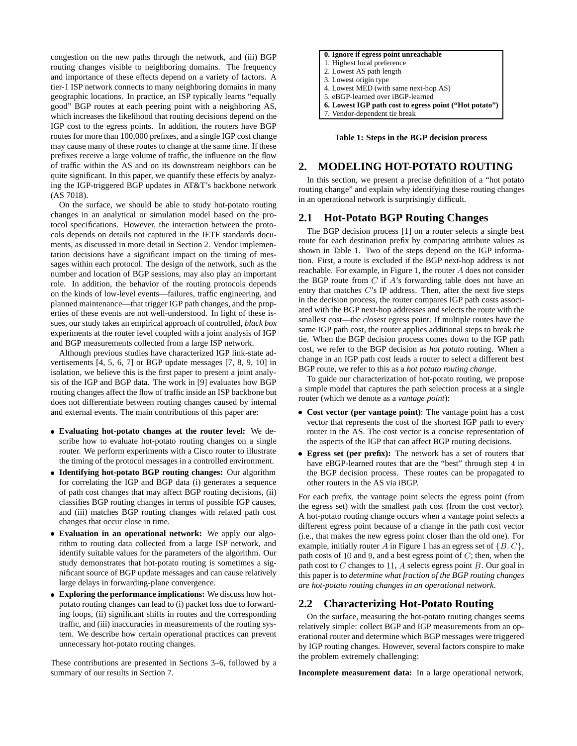congestion on the new paths through the network, and (iii) BGP routing changes visible to neighboring domains. The frequency and importance of these effects depend on a variety of factors. A tier-1 ISP network connects to many neighboring domains in many geographic locations. In practice, an ISP typically learns "equally good" BGP routes at each peering point with a neighboring AS, which increases the likelihood that routing decisions depend on the IGP cost to the egress points. In addition, the routers have BGP routes for more than 100,000 prefixes, and a single IGP cost change may cause many of these routes to change at the same time. If these prefixes receive a large volume of traffic, the influence on the flow of traffic within the AS and on its downstream neighbors can be quite significant. In this paper, we quantify these effects by analyzing the IGP-triggered BGP updates in AT&T's backbone network (AS 7018).

On the surface, we should be able to study hot-potato routing changes in an analytical or simulation model based on the protocol specifications. However, the interaction between the protocols depends on details not captured in the IETF standards documents, as discussed in more detail in Section 2. Vendor implementation decisions have a significant impact on the timing of messages within each protocol. The design of the network, such as the number and location of BGP sessions, may also play an important role. In addition, the behavior of the routing protocols depends on the kinds of low-level events—failures, traffic engineering, and planned maintenance—that trigger IGP path changes, and the properties of these events are not well-understood. In light of these issues, our study takes an empirical approach of controlled, *black box* experiments at the router level coupled with a joint analysis of IGP and BGP measurements collected from a large ISP network.

Although previous studies have characterized IGP link-state advertisements [4, 5, 6, 7] or BGP update messages [7, 8, 9, 10] in isolation, we believe this is the first paper to present a joint analysis of the IGP and BGP data. The work in [9] evaluates how BGP routing changes affect the flow of traffic inside an ISP backbone but does not differentiate between routing changes caused by internal and external events. The main contributions of this paper are:

- **Evaluating hot-potato changes at the router level:** We describe how to evaluate hot-potato routing changes on a single router. We perform experiments with a Cisco router to illustrate the timing of the protocol messages in a controlled environment.
- **Identifying hot-potato BGP routing changes:** Our algorithm for correlating the IGP and BGP data (i) generates a sequence of path cost changes that may affect BGP routing decisions, (ii) classifies BGP routing changes in terms of possible IGP causes, and (iii) matches BGP routing changes with related path cost changes that occur close in time.
- **Evaluation in an operational network:** We apply our algorithm to routing data collected from a large ISP network, and identify suitable values for the parameters of the algorithm. Our study demonstrates that hot-potato routing is sometimes a significant source of BGP update messages and can cause relatively large delays in forwarding-plane convergence.
- **Exploring the performance implications:** We discuss how hotpotato routing changes can lead to (i) packet loss due to forwarding loops, (ii) significant shifts in routes and the corresponding traffic, and (iii) inaccuracies in measurements of the routing system. We describe how certain operational practices can prevent unnecessary hot-potato routing changes.

These contributions are presented in Sections 3–6, followed by a summary of our results in Section 7.

| 0. Ignore if egress point unreachable                  |
|--------------------------------------------------------|
| 1. Highest local preference                            |
| 2. Lowest AS path length                               |
| 3. Lowest origin type                                  |
| 4. Lowest MED (with same next-hop AS)                  |
| 5. eBGP-learned over iBGP-learned                      |
| 6. Lowest IGP path cost to egress point ("Hot potato") |
| 7. Vendor-dependent tie break                          |

**Table 1: Steps in the BGP decision process**

# **2. MODELING HOT-POTATO ROUTING**

In this section, we present a precise definition of a "hot potato routing change" and explain why identifying these routing changes in an operational network is surprisingly difficult.

# **2.1 Hot-Potato BGP Routing Changes**

The BGP decision process [1] on a router selects a single best route for each destination prefix by comparing attribute values as shown in Table 1. Two of the steps depend on the IGP information. First, a route is excluded if the BGP next-hop address is not reachable. For example, in Figure 1, the router  $A$  does not consider the BGP route from  $C$  if  $A$ 's forwarding table does not have an entry that matches  $C$ 's IP address. Then, after the next five steps in the decision process, the router compares IGP path costs associated with the BGP next-hop addresses and selects the route with the smallest cost—the *closest* egress point. If multiple routes have the same IGP path cost, the router applies additional steps to break the tie. When the BGP decision process comes down to the IGP path cost, we refer to the BGP decision as *hot potato* routing. When a change in an IGP path cost leads a router to select a different best BGP route, we refer to this as a *hot potato routing change*.

To guide our characterization of hot-potato routing, we propose a simple model that captures the path selection process at a single router (which we denote as a *vantage point*):

- **Cost vector (per vantage point)**: The vantage point has a cost vector that represents the cost of the shortest IGP path to every router in the AS. The cost vector is a concise representation of the aspects of the IGP that can affect BGP routing decisions.
- **Egress set (per prefix):** The network has a set of routers that have eBGP-learned routes that are the "best" through step 4 in the BGP decision process. These routes can be propagated to other routers in the AS via iBGP.

For each prefix, the vantage point selects the egress point (from the egress set) with the smallest path cost (from the cost vector). A hot-potato routing change occurs when a vantage point selects a different egress point because of a change in the path cost vector (i.e., that makes the new egress point closer than the old one). For example, initially router A in Figure 1 has an egress set of  $\{B, C\}$ , path costs of 10 and 9, and a best egress point of  $C$ ; then, when the path cost to  $C$  changes to 11,  $A$  selects egress point  $B$ . Our goal in this paper is to *determine what fraction of the BGP routing changes are hot-potato routing changes in an operational network*.

# **2.2 Characterizing Hot-Potato Routing**

On the surface, measuring the hot-potato routing changes seems relatively simple: collect BGP and IGP measurements from an operational router and determine which BGP messages were triggered by IGP routing changes. However, several factors conspire to make the problem extremely challenging:

**Incomplete measurement data:** In a large operational network,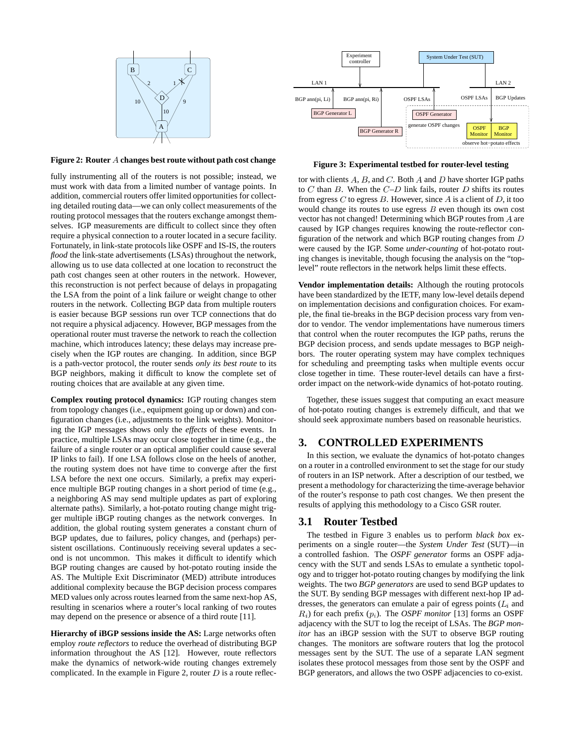

**Figure 2: Router changes best route without path cost change**

fully instrumenting all of the routers is not possible; instead, we must work with data from a limited number of vantage points. In addition, commercial routers offer limited opportunities for collecting detailed routing data—we can only collect measurements of the routing protocol messages that the routers exchange amongst themselves. IGP measurements are difficult to collect since they often require a physical connection to a router located in a secure facility. Fortunately, in link-state protocols like OSPF and IS-IS, the routers *flood* the link-state advertisements (LSAs) throughout the network, allowing us to use data collected at one location to reconstruct the path cost changes seen at other routers in the network. However, this reconstruction is not perfect because of delays in propagating the LSA from the point of a link failure or weight change to other routers in the network. Collecting BGP data from multiple routers is easier because BGP sessions run over TCP connections that do not require a physical adjacency. However, BGP messages from the operational router must traverse the network to reach the collection machine, which introduces latency; these delays may increase precisely when the IGP routes are changing. In addition, since BGP is a path-vector protocol, the router sends *only its best route* to its BGP neighbors, making it difficult to know the complete set of routing choices that are available at any given time.

**Complex routing protocol dynamics:** IGP routing changes stem from topology changes (i.e., equipment going up or down) and configuration changes (i.e., adjustments to the link weights). Monitoring the IGP messages shows only the *effects* of these events. In practice, multiple LSAs may occur close together in time (e.g., the failure of a single router or an optical amplifier could cause several IP links to fail). If one LSA follows close on the heels of another, the routing system does not have time to converge after the first LSA before the next one occurs. Similarly, a prefix may experience multiple BGP routing changes in a short period of time (e.g., a neighboring AS may send multiple updates as part of exploring alternate paths). Similarly, a hot-potato routing change might trigger multiple iBGP routing changes as the network converges. In addition, the global routing system generates a constant churn of BGP updates, due to failures, policy changes, and (perhaps) persistent oscillations. Continuously receiving several updates a second is not uncommon. This makes it difficult to identify which BGP routing changes are caused by hot-potato routing inside the AS. The Multiple Exit Discriminator (MED) attribute introduces additional complexity because the BGP decision process compares MED values only across routes learned from the same next-hop AS, resulting in scenarios where a router's local ranking of two routes may depend on the presence or absence of a third route [11].

**Hierarchy of iBGP sessions inside the AS:** Large networks often employ *route reflectors* to reduce the overhead of distributing BGP information throughout the AS [12]. However, route reflectors make the dynamics of network-wide routing changes extremely complicated. In the example in Figure 2, router  $D$  is a route reflec-



**Figure 3: Experimental testbed for router-level testing**

tor with clients  $A$ ,  $B$ , and  $C$ . Both  $A$  and  $D$  have shorter IGP paths to  $C$  than  $B$ . When the  $C-D$  link fails, router  $D$  shifts its routes from egress C to egress B. However, since A is a client of D, it too would change its routes to use egress  $B$  even though its own cost vector has not changed! Determining which BGP routes from  $A$  are caused by IGP changes requires knowing the route-reflector configuration of the network and which BGP routing changes from  $D$ were caused by the IGP. Some *under-counting* of hot-potato routing changes is inevitable, though focusing the analysis on the "toplevel" route reflectors in the network helps limit these effects.

**Vendor implementation details:** Although the routing protocols have been standardized by the IETF, many low-level details depend on implementation decisions and configuration choices. For example, the final tie-breaks in the BGP decision process vary from vendor to vendor. The vendor implementations have numerous timers that control when the router recomputes the IGP paths, reruns the BGP decision process, and sends update messages to BGP neighbors. The router operating system may have complex techniques for scheduling and preempting tasks when multiple events occur close together in time. These router-level details can have a firstorder impact on the network-wide dynamics of hot-potato routing.

Together, these issues suggest that computing an exact measure of hot-potato routing changes is extremely difficult, and that we should seek approximate numbers based on reasonable heuristics.

### **3. CONTROLLED EXPERIMENTS**

In this section, we evaluate the dynamics of hot-potato changes on a router in a controlled environment to set the stage for our study of routers in an ISP network. After a description of our testbed, we present a methodology for characterizing the time-average behavior of the router's response to path cost changes. We then present the results of applying this methodology to a Cisco GSR router.

#### **3.1 Router Testbed**

The testbed in Figure 3 enables us to perform *black box* experiments on a single router—the *System Under Test* (SUT)—in a controlled fashion. The *OSPF generator* forms an OSPF adjacency with the SUT and sends LSAs to emulate a synthetic topology and to trigger hot-potato routing changes by modifying the link weights. The two *BGP generators* are used to send BGP updates to the SUT. By sending BGP messages with different next-hop IP addresses, the generators can emulate a pair of egress points  $(L<sub>i</sub>$  and  $R_i$ ) for each prefix  $(p_i)$ . The *OSPF monitor* [13] forms an OSPF adjacency with the SUT to log the receipt of LSAs. The *BGP monitor* has an iBGP session with the SUT to observe BGP routing changes. The monitors are software routers that log the protocol messages sent by the SUT. The use of a separate LAN segment isolates these protocol messages from those sent by the OSPF and BGP generators, and allows the two OSPF adjacencies to co-exist.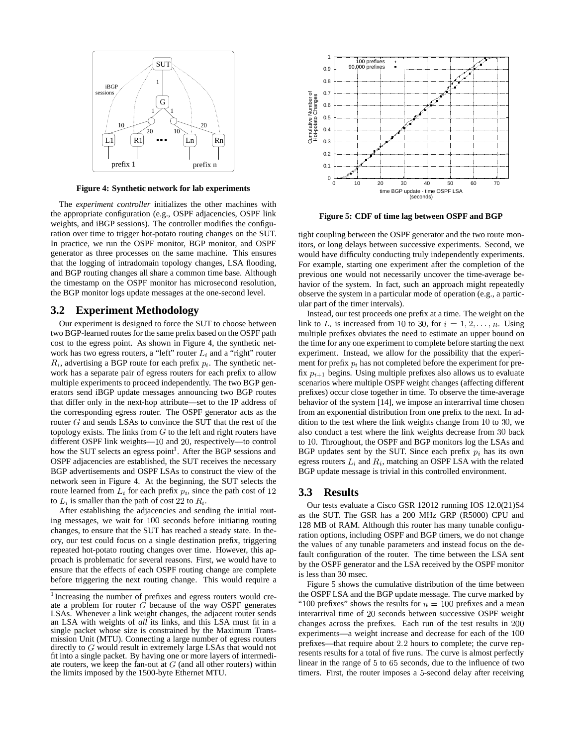

**Figure 4: Synthetic network for lab experiments**

The *experiment controller* initializes the other machines with the appropriate configuration (e.g., OSPF adjacencies, OSPF link weights, and iBGP sessions). The controller modifies the configuration over time to trigger hot-potato routing changes on the SUT. In practice, we run the OSPF monitor, BGP monitor, and OSPF generator as three processes on the same machine. This ensures that the logging of intradomain topology changes, LSA flooding, and BGP routing changes all share a common time base. Although the timestamp on the OSPF monitor has microsecond resolution, the BGP monitor logs update messages at the one-second level.

### **3.2 Experiment Methodology**

Our experiment is designed to force the SUT to choose between two BGP-learned routes for the same prefix based on the OSPF path cost to the egress point. As shown in Figure 4, the synthetic network has two egress routers, a "left" router  $L_i$  and a "right" router  $R_i$ , advertising a BGP route for each prefix  $p_i$ . The synthetic network has a separate pair of egress routers for each prefix to allow multiple experiments to proceed independently. The two BGP generators send iBGP update messages announcing two BGP routes that differ only in the next-hop attribute—set to the IP address of the corresponding egress router. The OSPF generator acts as the router  $G$  and sends LSAs to convince the SUT that the rest of the topology exists. The links from  $G$  to the left and right routers have different OSPF link weights-10 and 20, respectively-to control how the SUT selects an egress point<sup>1</sup>. After the BGP sessions and OSPF adjacencies are established, the SUT receives the necessary BGP advertisements and OSPF LSAs to construct the view of the network seen in Figure 4. At the beginning, the SUT selects the route learned from  $L_i$  for each prefix  $p_i$ , since the path cost of 12 to  $L_i$  is smaller than the path of cost 22 to  $R_i$ .

After establishing the adjacencies and sending the initial routing messages, we wait for  $100$  seconds before initiating routing changes, to ensure that the SUT has reached a steady state. In theory, our test could focus on a single destination prefix, triggering repeated hot-potato routing changes over time. However, this approach is problematic for several reasons. First, we would have to ensure that the effects of each OSPF routing change are complete before triggering the next routing change. This would require a



**Figure 5: CDF of time lag between OSPF and BGP**

tight coupling between the OSPF generator and the two route monitors, or long delays between successive experiments. Second, we would have difficulty conducting truly independently experiments. For example, starting one experiment after the completion of the previous one would not necessarily uncover the time-average behavior of the system. In fact, such an approach might repeatedly observe the system in a particular mode of operation (e.g., a particular part of the timer intervals).

Instead, our test proceeds one prefix at a time. The weight on the link to  $L_i$  is increased from 10 to 30, for  $i = 1, 2, ..., n$ . Using multiple prefixes obviates the need to estimate an upper bound on the time for any one experiment to complete before starting the next experiment. Instead, we allow for the possibility that the experiment for prefix  $p_i$  has not completed before the experiment for prefix  $p_{i+1}$  begins. Using multiple prefixes also allows us to evaluate scenarios where multiple OSPF weight changes (affecting different prefixes) occur close together in time. To observe the time-average behavior of the system [14], we impose an interarrival time chosen from an exponential distribution from one prefix to the next. In addition to the test where the link weights change from  $10$  to  $30$ , we also conduct a test where the link weights decrease from 30 back to 10. Throughout, the OSPF and BGP monitors log the LSAs and BGP updates sent by the SUT. Since each prefix  $p_i$  has its own egress routers  $L_i$  and  $R_i$ , matching an OSPF LSA with the related BGP update message is trivial in this controlled environment.

#### **3.3 Results**

Our tests evaluate a Cisco GSR 12012 running IOS 12.0(21)S4 as the SUT. The GSR has a 200 MHz GRP (R5000) CPU and 128 MB of RAM. Although this router has many tunable configuration options, including OSPF and BGP timers, we do not change the values of any tunable parameters and instead focus on the default configuration of the router. The time between the LSA sent by the OSPF generator and the LSA received by the OSPF monitor is less than 30 msec.

Figure 5 shows the cumulative distribution of the time between the OSPF LSA and the BGP update message. The curve marked by "100 prefixes" shows the results for  $n = 100$  prefixes and a mean interarrival time of 20 seconds between successive OSPF weight changes across the prefixes. Each run of the test results in experiments—a weight increase and decrease for each of the  $100$ prefixes—that require about 2.2 hours to complete; the curve represents results for a total of five runs. The curve is almost perfectly linear in the range of 5 to 65 seconds, due to the influence of two timers. First, the router imposes a 5-second delay after receiving

 $1$ Increasing the number of prefixes and egress routers would create a problem for router  $\tilde{G}$  because of the way OSPF generates LSAs. Whenever a link weight changes, the adjacent router sends an LSA with weights of *all* its links, and this LSA must fit in a single packet whose size is constrained by the Maximum Transmission Unit (MTU). Connecting a large number of egress routers directly to  $G$  would result in extremely large LSAs that would not fit into a single packet. By having one or more layers of intermediate routers, we keep the fan-out at  $G$  (and all other routers) within the limits imposed by the 1500-byte Ethernet MTU.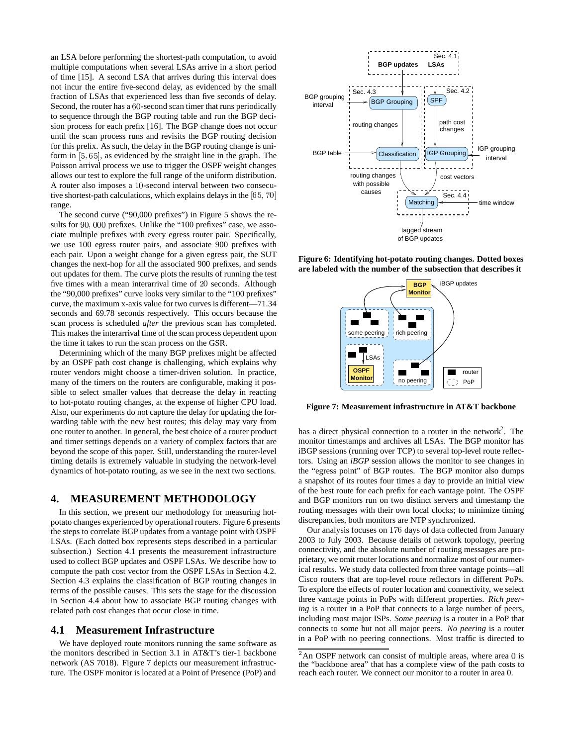an LSA before performing the shortest-path computation, to avoid multiple computations when several LSAs arrive in a short period of time [15]. A second LSA that arrives during this interval does not incur the entire five-second delay, as evidenced by the small fraction of LSAs that experienced less than five seconds of delay. Second, the router has a 60-second scan timer that runs periodically to sequence through the BGP routing table and run the BGP decision process for each prefix [16]. The BGP change does not occur until the scan process runs and revisits the BGP routing decision for this prefix. As such, the delay in the BGP routing change is uniform in  $[5, 65]$ , as evidenced by the straight line in the graph. The Poisson arrival process we use to trigger the OSPF weight changes allows our test to explore the full range of the uniform distribution. A router also imposes a 10-second interval between two consecutive shortest-path calculations, which explains delays in the  $[65, 70]$ range.

The second curve ("90,000 prefixes") in Figure 5 shows the results for 90, 000 prefixes. Unlike the "100 prefixes" case, we associate multiple prefixes with every egress router pair. Specifically, we use 100 egress router pairs, and associate 900 prefixes with each pair. Upon a weight change for a given egress pair, the SUT changes the next-hop for all the associated 900 prefixes, and sends out updates for them. The curve plots the results of running the test five times with a mean interarrival time of 20 seconds. Although the "90,000 prefixes" curve looks very similar to the "100 prefixes" curve, the maximum x-axis value for two curves is different—71.34 seconds and 69.78 seconds respectively. This occurs because the scan process is scheduled *after* the previous scan has completed. This makes the interarrival time of the scan process dependent upon the time it takes to run the scan process on the GSR.

Determining which of the many BGP prefixes might be affected by an OSPF path cost change is challenging, which explains why router vendors might choose a timer-driven solution. In practice, many of the timers on the routers are configurable, making it possible to select smaller values that decrease the delay in reacting to hot-potato routing changes, at the expense of higher CPU load. Also, our experiments do not capture the delay for updating the forwarding table with the new best routes; this delay may vary from one router to another. In general, the best choice of a router product and timer settings depends on a variety of complex factors that are beyond the scope of this paper. Still, understanding the router-level timing details is extremely valuable in studying the network-level dynamics of hot-potato routing, as we see in the next two sections.

#### **4. MEASUREMENT METHODOLOGY**

In this section, we present our methodology for measuring hotpotato changes experienced by operational routers. Figure 6 presents the steps to correlate BGP updates from a vantage point with OSPF LSAs. (Each dotted box represents steps described in a particular subsection.) Section 4.1 presents the measurement infrastructure used to collect BGP updates and OSPF LSAs. We describe how to compute the path cost vector from the OSPF LSAs in Section 4.2. Section 4.3 explains the classification of BGP routing changes in terms of the possible causes. This sets the stage for the discussion in Section 4.4 about how to associate BGP routing changes with related path cost changes that occur close in time.

#### **4.1 Measurement Infrastructure**

We have deployed route monitors running the same software as the monitors described in Section 3.1 in AT&T's tier-1 backbone network (AS 7018). Figure 7 depicts our measurement infrastructure. The OSPF monitor is located at a Point of Presence (PoP) and



**Figure 6: Identifying hot-potato routing changes. Dotted boxes are labeled with the number of the subsection that describes it**



**Figure 7: Measurement infrastructure in AT&T backbone**

has a direct physical connection to a router in the network<sup>2</sup>. The monitor timestamps and archives all LSAs. The BGP monitor has iBGP sessions (running over TCP) to several top-level route reflectors. Using an *iBGP* session allows the monitor to see changes in the "egress point" of BGP routes. The BGP monitor also dumps a snapshot of its routes four times a day to provide an initial view of the best route for each prefix for each vantage point. The OSPF and BGP monitors run on two distinct servers and timestamp the routing messages with their own local clocks; to minimize timing discrepancies, both monitors are NTP synchronized.

Our analysis focuses on 176 days of data collected from January 2003 to July 2003. Because details of network topology, peering connectivity, and the absolute number of routing messages are proprietary, we omit router locations and normalize most of our numerical results. We study data collected from three vantage points—all Cisco routers that are top-level route reflectors in different PoPs. To explore the effects of router location and connectivity, we select three vantage points in PoPs with different properties. *Rich peering* is a router in a PoP that connects to a large number of peers, including most major ISPs. *Some peering* is a router in a PoP that connects to some but not all major peers. *No peering* is a router in a PoP with no peering connections. Most traffic is directed to

 $2$ An OSPF network can consist of multiple areas, where area 0 is the "backbone area" that has a complete view of the path costs to reach each router. We connect our monitor to a router in area 0.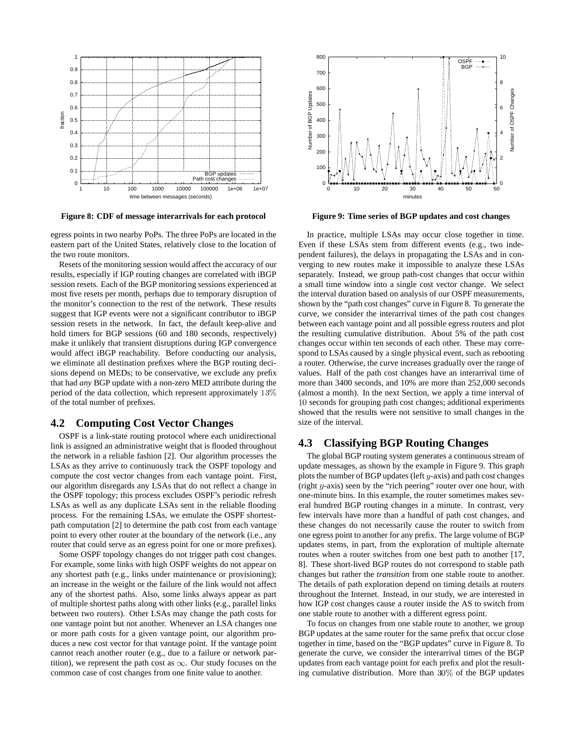

**Figure 8: CDF of message interarrivals for each protocol**

egress points in two nearby PoPs. The three PoPs are located in the eastern part of the United States, relatively close to the location of the two route monitors.

Resets of the monitoring session would affect the accuracy of our results, especially if IGP routing changes are correlated with iBGP session resets. Each of the BGP monitoring sessions experienced at most five resets per month, perhaps due to temporary disruption of the monitor's connection to the rest of the network. These results suggest that IGP events were not a significant contributor to iBGP session resets in the network. In fact, the default keep-alive and hold timers for BGP sessions (60 and 180 seconds, respectively) make it unlikely that transient disruptions during IGP convergence would affect iBGP reachability. Before conducting our analysis, we eliminate all destination prefixes where the BGP routing decisions depend on MEDs; to be conservative, we exclude any prefix that had *any* BGP update with a non-zero MED attribute during the period of the data collection, which represent approximately  $13\%$ of the total number of prefixes.

#### **4.2 Computing Cost Vector Changes**

OSPF is a link-state routing protocol where each unidirectional link is assigned an administrative weight that is flooded throughout the network in a reliable fashion [2]. Our algorithm processes the LSAs as they arrive to continuously track the OSPF topology and compute the cost vector changes from each vantage point. First, our algorithm disregards any LSAs that do not reflect a change in the OSPF topology; this process excludes OSPF's periodic refresh LSAs as well as any duplicate LSAs sent in the reliable flooding process. For the remaining LSAs, we emulate the OSPF shortestpath computation [2] to determine the path cost from each vantage point to every other router at the boundary of the network (i.e., any router that could serve as an egress point for one or more prefixes).

Some OSPF topology changes do not trigger path cost changes. For example, some links with high OSPF weights do not appear on any shortest path (e.g., links under maintenance or provisioning); an increase in the weight or the failure of the link would not affect any of the shortest paths. Also, some links always appear as part of multiple shortest paths along with other links (e.g., parallel links between two routers). Other LSAs may change the path costs for one vantage point but not another. Whenever an LSA changes one or more path costs for a given vantage point, our algorithm produces a new cost vector for that vantage point. If the vantage point cannot reach another router (e.g., due to a failure or network partition), we represent the path cost as  $\infty$ . Our study focuses on the common case of cost changes from one finite value to another.



**Figure 9: Time series of BGP updates and cost changes**

In practice, multiple LSAs may occur close together in time. Even if these LSAs stem from different events (e.g., two independent failures), the delays in propagating the LSAs and in converging to new routes make it impossible to analyze these LSAs separately. Instead, we group path-cost changes that occur within a small time window into a single cost vector change. We select the interval duration based on analysis of our OSPF measurements, shown by the "path cost changes" curve in Figure 8. To generate the curve, we consider the interarrival times of the path cost changes between each vantage point and all possible egress routers and plot the resulting cumulative distribution. About 5% of the path cost changes occur within ten seconds of each other. These may correspond to LSAs caused by a single physical event, such as rebooting a router. Otherwise, the curve increases gradually over the range of values. Half of the path cost changes have an interarrival time of more than 3400 seconds, and 10% are more than 252,000 seconds (almost a month). In the next Section, we apply a time interval of 10 seconds for grouping path cost changes; additional experiments showed that the results were not sensitive to small changes in the size of the interval.

## **4.3 Classifying BGP Routing Changes**

The global BGP routing system generates a continuous stream of update messages, as shown by the example in Figure 9. This graph plots the number of BGP updates (left  $y$ -axis) and path cost changes (right  $y$ -axis) seen by the "rich peering" router over one hour, with one-minute bins. In this example, the router sometimes makes several hundred BGP routing changes in a minute. In contrast, very few intervals have more than a handful of path cost changes, and these changes do not necessarily cause the router to switch from one egress point to another for any prefix. The large volume of BGP updates stems, in part, from the exploration of multiple alternate routes when a router switches from one best path to another [17, 8]. These short-lived BGP routes do not correspond to stable path changes but rather the *transition* from one stable route to another. The details of path exploration depend on timing details at routers throughout the Internet. Instead, in our study, we are interested in how IGP cost changes cause a router inside the AS to switch from one stable route to another with a different egress point.

To focus on changes from one stable route to another, we group BGP updates at the same router for the same prefix that occur close together in time, based on the "BGP updates" curve in Figure 8. To generate the curve, we consider the interarrival times of the BGP updates from each vantage point for each prefix and plot the resulting cumulative distribution. More than  $30\%$  of the BGP updates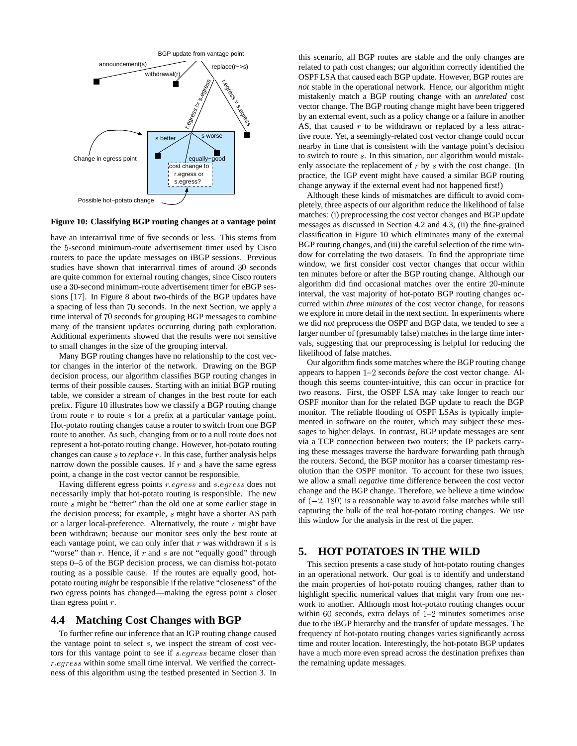

#### **Figure 10: Classifying BGP routing changes at a vantage point**

have an interarrival time of five seconds or less. This stems from the 5-second minimum-route advertisement timer used by Cisco routers to pace the update messages on iBGP sessions. Previous studies have shown that interarrival times of around 30 seconds are quite common for external routing changes, since Cisco routers use a 30-second minimum-route advertisement timer for eBGP sessions [17]. In Figure 8 about two-thirds of the BGP updates have a spacing of less than 70 seconds. In the next Section, we apply a time interval of 70 seconds for grouping BGP messages to combine many of the transient updates occurring during path exploration. Additional experiments showed that the results were not sensitive to small changes in the size of the grouping interval.

Many BGP routing changes have no relationship to the cost vector changes in the interior of the network. Drawing on the BGP decision process, our algorithm classifies BGP routing changes in terms of their possible causes. Starting with an initial BGP routing table, we consider a stream of changes in the best route for each prefix. Figure 10 illustrates how we classify a BGP routing change from route  $r$  to route  $s$  for a prefix at a particular vantage point. Hot-potato routing changes cause a router to switch from one BGP route to another. As such, changing from or to a null route does not represent a hot-potato routing change. However, hot-potato routing changes can cause s to *replace* r. In this case, further analysis helps narrow down the possible causes. If  $r$  and  $s$  have the same egress point, a change in the cost vector cannot be responsible.

Having different egress points  $r \text{.} eq \text{ } res \text{.}$  and  $s \text{.} eq \text{ } res \text{.}$  does not necessarily imply that hot-potato routing is responsible. The new route s might be "better" than the old one at some earlier stage in the decision process; for example,  $s$  might have a shorter AS path or a larger local-preference. Alternatively, the route  $r$  might have been withdrawn; because our monitor sees only the best route at each vantage point, we can only infer that  $r$  was withdrawn if  $s$  is "worse" than  $r$ . Hence, if  $r$  and  $s$  are not "equally good" through steps 0–5 of the BGP decision process, we can dismiss hot-potato routing as a possible cause. If the routes are equally good, hotpotato routing *might* be responsible if the relative "closeness" of the two egress points has changed—making the egress point  $s$  closer than egress point  $r$ .

#### **4.4 Matching Cost Changes with BGP**

To further refine our inference that an IGP routing change caused the vantage point to select  $s$ , we inspect the stream of cost vectors for this vantage point to see if  $s. egress$  became closer than  $r. egress$  within some small time interval. We verified the correctness of this algorithm using the testbed presented in Section 3. In this scenario, all BGP routes are stable and the only changes are related to path cost changes; our algorithm correctly identified the OSPF LSA that caused each BGP update. However, BGP routes are *not* stable in the operational network. Hence, our algorithm might mistakenly match a BGP routing change with an *unrelated* cost vector change. The BGP routing change might have been triggered by an external event, such as a policy change or a failure in another AS, that caused  $r$  to be withdrawn or replaced by a less attractive route. Yet, a seemingly-related cost vector change could occur nearby in time that is consistent with the vantage point's decision to switch to route  $s$ . In this situation, our algorithm would mistakenly associate the replacement of  $r$  by  $s$  with the cost change. (In practice, the IGP event might have caused a similar BGP routing change anyway if the external event had not happened first!)

Although these kinds of mismatches are difficult to avoid completely, three aspects of our algorithm reduce the likelihood of false matches: (i) preprocessing the cost vector changes and BGP update messages as discussed in Section 4.2 and 4.3, (ii) the fine-grained classification in Figure 10 which eliminates many of the external BGP routing changes, and (iii) the careful selection of the time window for correlating the two datasets. To find the appropriate time window, we first consider cost vector changes that occur within ten minutes before or after the BGP routing change. Although our algorithm did find occasional matches over the entire 20-minute interval, the vast majority of hot-potato BGP routing changes occurred within *three minutes* of the cost vector change, for reasons we explore in more detail in the next section. In experiments where we did *not* preprocess the OSPF and BGP data, we tended to see a larger number of (presumably false) matches in the large time intervals, suggesting that our preprocessing is helpful for reducing the likelihood of false matches.

Our algorithm finds some matches where the BGP routing change appears to happen 1–2 seconds *before* the cost vector change. Although this seems counter-intuitive, this can occur in practice for two reasons. First, the OSPF LSA may take longer to reach our OSPF monitor than for the related BGP update to reach the BGP monitor. The reliable flooding of OSPF LSAs is typically implemented in software on the router, which may subject these messages to higher delays. In contrast, BGP update messages are sent via a TCP connection between two routers; the IP packets carrying these messages traverse the hardware forwarding path through the routers. Second, the BGP monitor has a coarser timestamp resolution than the OSPF monitor. To account for these two issues, we allow a small *negative* time difference between the cost vector change and the BGP change. Therefore, we believe a time window of  $(-2, 180)$  is a reasonable way to avoid false matches while still capturing the bulk of the real hot-potato routing changes. We use this window for the analysis in the rest of the paper.

# **5. HOT POTATOES IN THE WILD**

This section presents a case study of hot-potato routing changes in an operational network. Our goal is to identify and understand the main properties of hot-potato routing changes, rather than to highlight specific numerical values that might vary from one network to another. Although most hot-potato routing changes occur within  $60$  seconds, extra delays of  $1-2$  minutes sometimes arise due to the iBGP hierarchy and the transfer of update messages. The frequency of hot-potato routing changes varies significantly across time and router location. Interestingly, the hot-potato BGP updates have a much more even spread across the destination prefixes than the remaining update messages.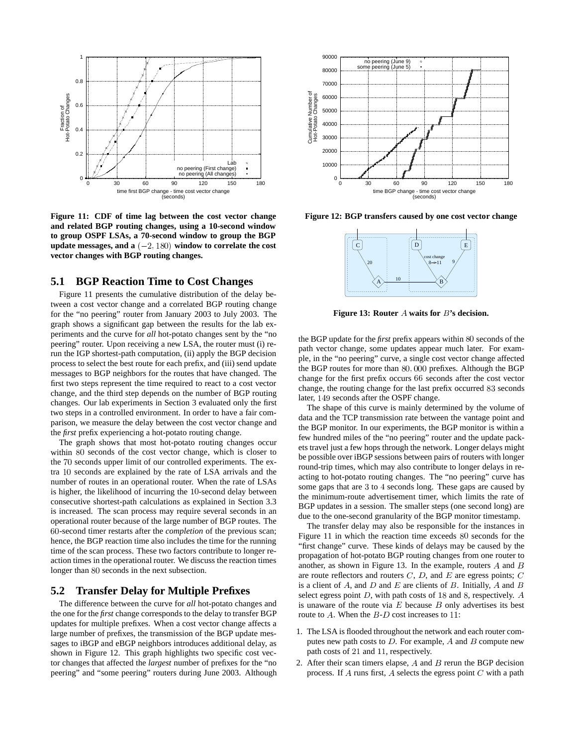

**Figure 11: CDF of time lag between the cost vector change and related BGP routing changes, using a 10-second window to group OSPF LSAs, a 70-second window to group the BGP update messages,** and  $a(-2, 180)$  **window** to correlate the cost **vector changes with BGP routing changes.**

#### **5.1 BGP Reaction Time to Cost Changes**

Figure 11 presents the cumulative distribution of the delay between a cost vector change and a correlated BGP routing change for the "no peering" router from January 2003 to July 2003. The graph shows a significant gap between the results for the lab experiments and the curve for *all* hot-potato changes sent by the "no peering" router. Upon receiving a new LSA, the router must (i) rerun the IGP shortest-path computation, (ii) apply the BGP decision process to select the best route for each prefix, and (iii) send update messages to BGP neighbors for the routes that have changed. The first two steps represent the time required to react to a cost vector change, and the third step depends on the number of BGP routing changes. Our lab experiments in Section 3 evaluated only the first two steps in a controlled environment. In order to have a fair comparison, we measure the delay between the cost vector change and the *first* prefix experiencing a hot-potato routing change.

The graph shows that most hot-potato routing changes occur within 80 seconds of the cost vector change, which is closer to the 70 seconds upper limit of our controlled experiments. The extra 10 seconds are explained by the rate of LSA arrivals and the number of routes in an operational router. When the rate of LSAs is higher, the likelihood of incurring the 10-second delay between consecutive shortest-path calculations as explained in Section 3.3 is increased. The scan process may require several seconds in an operational router because of the large number of BGP routes. The 60-second timer restarts after the *completion* of the previous scan; hence, the BGP reaction time also includes the time for the running time of the scan process. These two factors contribute to longer reaction times in the operational router. We discuss the reaction times longer than 80 seconds in the next subsection.

#### **5.2 Transfer Delay for Multiple Prefixes**

The difference between the curve for *all* hot-potato changes and the one for the *first* change corresponds to the delay to transfer BGP updates for multiple prefixes. When a cost vector change affects a large number of prefixes, the transmission of the BGP update messages to iBGP and eBGP neighbors introduces additional delay, as shown in Figure 12. This graph highlights two specific cost vector changes that affected the *largest* number of prefixes for the "no peering" and "some peering" routers during June 2003. Although



**Figure 12: BGP transfers caused by one cost vector change**



**Figure** 13: Router *A* waits for *B*'s decision.

the BGP update for the *first* prefix appears within 80 seconds of the path vector change, some updates appear much later. For example, in the "no peering" curve, a single cost vector change affected the BGP routes for more than 80,000 prefixes. Although the BGP change for the first prefix occurs 66 seconds after the cost vector change, the routing change for the last prefix occurred 83 seconds later, 149 seconds after the OSPF change.

The shape of this curve is mainly determined by the volume of data and the TCP transmission rate between the vantage point and the BGP monitor. In our experiments, the BGP monitor is within a few hundred miles of the "no peering" router and the update packets travel just a few hops through the network. Longer delays might be possible over iBGP sessions between pairs of routers with longer round-trip times, which may also contribute to longer delays in reacting to hot-potato routing changes. The "no peering" curve has some gaps that are 3 to 4 seconds long. These gaps are caused by the minimum-route advertisement timer, which limits the rate of BGP updates in a session. The smaller steps (one second long) are due to the one-second granularity of the BGP monitor timestamp.

The transfer delay may also be responsible for the instances in Figure 11 in which the reaction time exceeds 80 seconds for the "first change" curve. These kinds of delays may be caused by the propagation of hot-potato BGP routing changes from one router to another, as shown in Figure 13. In the example, routers  $A$  and  $B$ are route reflectors and routers  $C$ ,  $D$ , and  $E$  are egress points;  $C$ is a client of  $A$ , and  $D$  and  $E$  are clients of  $B$ . Initially,  $A$  and  $B$ select egress point  $D$ , with path costs of 18 and 8, respectively.  $A$ is unaware of the route via  $E$  because  $B$  only advertises its best route to  $A$ . When the  $B-D$  cost increases to 11:

- 1. The LSA is flooded throughout the network and each router computes new path costs to  $D$ . For example,  $A$  and  $B$  compute new path costs of 21 and 11, respectively.
- 2. After their scan timers elapse,  $A$  and  $B$  rerun the BGP decision process. If  $A$  runs first,  $A$  selects the egress point  $C$  with a path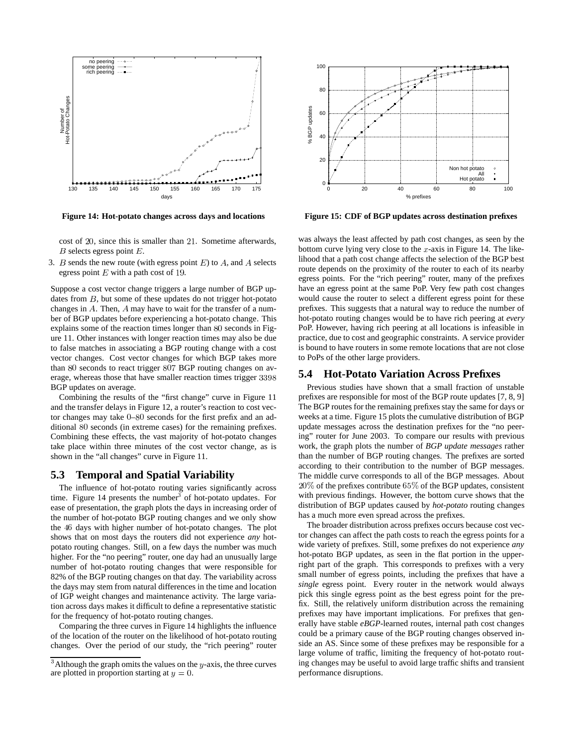

**Figure 14: Hot-potato changes across days and locations**

cost of 20, since this is smaller than 21. Sometime afterwards,  $B$  selects egress point  $E$ .

3.  $B$  sends the new route (with egress point  $E$ ) to  $A$ , and  $A$  selects egress point  $E$  with a path cost of 19.

Suppose a cost vector change triggers a large number of BGP updates from  $B$ , but some of these updates do not trigger hot-potato changes in  $A$ . Then,  $A$  may have to wait for the transfer of a number of BGP updates before experiencing a hot-potato change. This explains some of the reaction times longer than 80 seconds in Figure 11. Other instances with longer reaction times may also be due to false matches in associating a BGP routing change with a cost vector changes. Cost vector changes for which BGP takes more than 80 seconds to react trigger 807 BGP routing changes on average, whereas those that have smaller reaction times trigger 3398 BGP updates on average.

Combining the results of the "first change" curve in Figure 11 and the transfer delays in Figure 12, a router's reaction to cost vector changes may take 0-80 seconds for the first prefix and an additional 80 seconds (in extreme cases) for the remaining prefixes. Combining these effects, the vast majority of hot-potato changes take place within three minutes of the cost vector change, as is shown in the "all changes" curve in Figure 11.

#### **5.3 Temporal and Spatial Variability**

The influence of hot-potato routing varies significantly across time. Figure 14 presents the number  $\delta$  of hot-potato updates. For ease of presentation, the graph plots the days in increasing order of the number of hot-potato BGP routing changes and we only show the 46 days with higher number of hot-potato changes. The plot shows that on most days the routers did not experience *any* hotpotato routing changes. Still, on a few days the number was much higher. For the "no peering" router, one day had an unusually large number of hot-potato routing changes that were responsible for 82% of the BGP routing changes on that day. The variability across the days may stem from natural differences in the time and location of IGP weight changes and maintenance activity. The large variation across days makes it difficult to define a representative statistic for the frequency of hot-potato routing changes.

Comparing the three curves in Figure 14 highlights the influence of the location of the router on the likelihood of hot-potato routing changes. Over the period of our study, the "rich peering" router



**Figure 15: CDF of BGP updates across destination prefixes**

was always the least affected by path cost changes, as seen by the bottom curve lying very close to the  $x$ -axis in Figure 14. The likelihood that a path cost change affects the selection of the BGP best route depends on the proximity of the router to each of its nearby egress points. For the "rich peering" router, many of the prefixes have an egress point at the same PoP. Very few path cost changes would cause the router to select a different egress point for these prefixes. This suggests that a natural way to reduce the number of hot-potato routing changes would be to have rich peering at *every* PoP. However, having rich peering at all locations is infeasible in practice, due to cost and geographic constraints. A service provider is bound to have routers in some remote locations that are not close to PoPs of the other large providers.

#### **5.4 Hot-Potato Variation Across Prefixes**

Previous studies have shown that a small fraction of unstable prefixes are responsible for most of the BGP route updates [7, 8, 9] The BGP routes for the remaining prefixes stay the same for days or weeks at a time. Figure 15 plots the cumulative distribution of BGP update messages across the destination prefixes for the "no peering" router for June 2003. To compare our results with previous work, the graph plots the number of *BGP update messages* rather than the number of BGP routing changes. The prefixes are sorted according to their contribution to the number of BGP messages. The middle curve corresponds to all of the BGP messages. About  $20\%$  of the prefixes contribute  $65\%$  of the BGP updates, consistent with previous findings. However, the bottom curve shows that the distribution of BGP updates caused by *hot-potato* routing changes has a much more even spread across the prefixes.

The broader distribution across prefixes occurs because cost vector changes can affect the path costs to reach the egress points for a wide variety of prefixes. Still, some prefixes do not experience *any* hot-potato BGP updates, as seen in the flat portion in the upperright part of the graph. This corresponds to prefixes with a very small number of egress points, including the prefixes that have a *single* egress point. Every router in the network would always pick this single egress point as the best egress point for the prefix. Still, the relatively uniform distribution across the remaining prefixes may have important implications. For prefixes that generally have stable *eBGP*-learned routes, internal path cost changes could be a primary cause of the BGP routing changes observed inside an AS. Since some of these prefixes may be responsible for a large volume of traffic, limiting the frequency of hot-potato routing changes may be useful to avoid large traffic shifts and transient performance disruptions.

 $3$  Although the graph omits the values on the y-axis, the three curves are plotted in proportion starting at  $y = 0$ .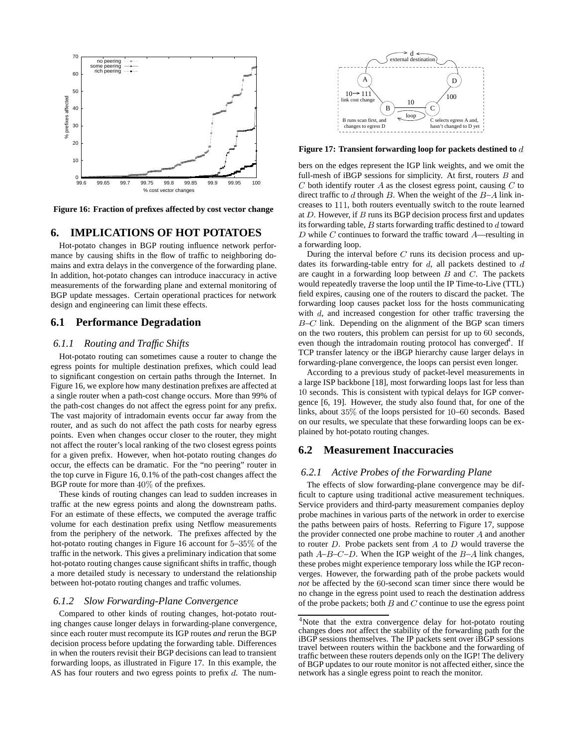

**Figure 16: Fraction of prefixes affected by cost vector change**

### **6. IMPLICATIONS OF HOT POTATOES**

Hot-potato changes in BGP routing influence network performance by causing shifts in the flow of traffic to neighboring domains and extra delays in the convergence of the forwarding plane. In addition, hot-potato changes can introduce inaccuracy in active measurements of the forwarding plane and external monitoring of BGP update messages. Certain operational practices for network design and engineering can limit these effects.

### **6.1 Performance Degradation**

#### *6.1.1 Routing and Traffic Shifts*

Hot-potato routing can sometimes cause a router to change the egress points for multiple destination prefixes, which could lead to significant congestion on certain paths through the Internet. In Figure 16, we explore how many destination prefixes are affected at a single router when a path-cost change occurs. More than 99% of the path-cost changes do not affect the egress point for any prefix. The vast majority of intradomain events occur far away from the router, and as such do not affect the path costs for nearby egress points. Even when changes occur closer to the router, they might not affect the router's local ranking of the two closest egress points for a given prefix. However, when hot-potato routing changes *do* occur, the effects can be dramatic. For the "no peering" router in the top curve in Figure 16, 0.1% of the path-cost changes affect the BGP route for more than  $40\%$  of the prefixes.

These kinds of routing changes can lead to sudden increases in traffic at the new egress points and along the downstream paths. For an estimate of these effects, we computed the average traffic volume for each destination prefix using Netflow measurements from the periphery of the network. The prefixes affected by the hot-potato routing changes in Figure 16 account for  $5-35\%$  of the traffic in the network. This gives a preliminary indication that some hot-potato routing changes cause significant shifts in traffic, though a more detailed study is necessary to understand the relationship between hot-potato routing changes and traffic volumes.

#### *6.1.2 Slow Forwarding-Plane Convergence*

Compared to other kinds of routing changes, hot-potato routing changes cause longer delays in forwarding-plane convergence, since each router must recompute its IGP routes *and* rerun the BGP decision process before updating the forwarding table. Differences in when the routers revisit their BGP decisions can lead to transient forwarding loops, as illustrated in Figure 17. In this example, the AS has four routers and two egress points to prefix  $d$ . The num-



**Figure 17: Transient forwarding loop for packets destined to** <sup>Q</sup>

bers on the edges represent the IGP link weights, and we omit the full-mesh of iBGP sessions for simplicity. At first, routers  $B$  and  $C$  both identify router  $A$  as the closest egress point, causing  $C$  to direct traffic to  $d$  through  $B$ . When the weight of the  $B-A$  link increases to 111, both routers eventually switch to the route learned at  $D$ . However, if  $B$  runs its BGP decision process first and updates its forwarding table,  $B$  starts forwarding traffic destined to  $d$  toward  $D$  while  $C$  continues to forward the traffic toward  $A$ —resulting in a forwarding loop.

During the interval before  $C$  runs its decision process and updates its forwarding-table entry for  $d$ , all packets destined to  $d$ are caught in a forwarding loop between  $B$  and  $C$ . The packets would repeatedly traverse the loop until the IP Time-to-Live (TTL) field expires, causing one of the routers to discard the packet. The forwarding loop causes packet loss for the hosts communicating with  $d$ , and increased congestion for other traffic traversing the  $B-C$  link. Depending on the alignment of the BGP scan timers on the two routers, this problem can persist for up to 60 seconds, even though the intradomain routing protocol has converged<sup>4</sup>. If TCP transfer latency or the iBGP hierarchy cause larger delays in forwarding-plane convergence, the loops can persist even longer.

According to a previous study of packet-level measurements in a large ISP backbone [18], most forwarding loops last for less than 10 seconds. This is consistent with typical delays for IGP convergence [6, 19]. However, the study also found that, for one of the links, about  $35\%$  of the loops persisted for  $10-60$  seconds. Based on our results, we speculate that these forwarding loops can be explained by hot-potato routing changes.

#### **6.2 Measurement Inaccuracies**

#### *6.2.1 Active Probes of the Forwarding Plane*

The effects of slow forwarding-plane convergence may be difficult to capture using traditional active measurement techniques. Service providers and third-party measurement companies deploy probe machines in various parts of the network in order to exercise the paths between pairs of hosts. Referring to Figure 17, suppose the provider connected one probe machine to router  $A$  and another to router  $D$ . Probe packets sent from  $A$  to  $D$  would traverse the path  $A-B-C-D$ . When the IGP weight of the  $B-A$  link changes, these probes might experience temporary loss while the IGP reconverges. However, the forwarding path of the probe packets would not be affected by the 60-second scan timer since there would be no change in the egress point used to reach the destination address of the probe packets; both  $B$  and  $C$  continue to use the egress point

 $4$ Note that the extra convergence delay for hot-potato routing changes does *not* affect the stability of the forwarding path for the iBGP sessions themselves. The IP packets sent over iBGP sessions travel between routers within the backbone and the forwarding of traffic between these routers depends only on the IGP! The delivery of BGP updates to our route monitor is not affected either, since the network has a single egress point to reach the monitor.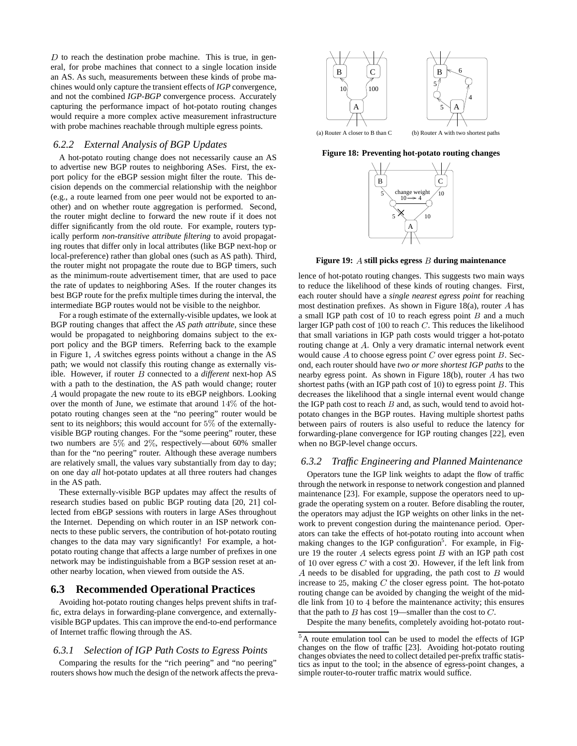$D$  to reach the destination probe machine. This is true, in general, for probe machines that connect to a single location inside an AS. As such, measurements between these kinds of probe machines would only capture the transient effects of *IGP* convergence, and not the combined *IGP-BGP* convergence process. Accurately capturing the performance impact of hot-potato routing changes would require a more complex active measurement infrastructure with probe machines reachable through multiple egress points.

#### *6.2.2 External Analysis of BGP Updates*

A hot-potato routing change does not necessarily cause an AS to advertise new BGP routes to neighboring ASes. First, the export policy for the eBGP session might filter the route. This decision depends on the commercial relationship with the neighbor (e.g., a route learned from one peer would not be exported to another) and on whether route aggregation is performed. Second, the router might decline to forward the new route if it does not differ significantly from the old route. For example, routers typically perform *non-transitive attribute filtering* to avoid propagating routes that differ only in local attributes (like BGP next-hop or local-preference) rather than global ones (such as AS path). Third, the router might not propagate the route due to BGP timers, such as the minimum-route advertisement timer, that are used to pace the rate of updates to neighboring ASes. If the router changes its best BGP route for the prefix multiple times during the interval, the intermediate BGP routes would not be visible to the neighbor.

For a rough estimate of the externally-visible updates, we look at BGP routing changes that affect the *AS path attribute*, since these would be propagated to neighboring domains subject to the export policy and the BGP timers. Referring back to the example in Figure 1,  $\vec{A}$  switches egress points without a change in the AS path; we would not classify this routing change as externally visible. However, if router *B* connected to a *different* next-hop AS with a path to the destination, the AS path would change; router would propagate the new route to its eBGP neighbors. Looking over the month of June, we estimate that around  $14\%$  of the hotpotato routing changes seen at the "no peering" router would be sent to its neighbors; this would account for  $5\%$  of the externallyvisible BGP routing changes. For the "some peering" router, these two numbers are  $5\%$  and  $2\%$ , respectively—about 60% smaller than for the "no peering" router. Although these average numbers are relatively small, the values vary substantially from day to day; on one day *all* hot-potato updates at all three routers had changes in the AS path.

These externally-visible BGP updates may affect the results of research studies based on public BGP routing data [20, 21] collected from eBGP sessions with routers in large ASes throughout the Internet. Depending on which router in an ISP network connects to these public servers, the contribution of hot-potato routing changes to the data may vary significantly! For example, a hotpotato routing change that affects a large number of prefixes in one network may be indistinguishable from a BGP session reset at another nearby location, when viewed from outside the AS.

#### **6.3 Recommended Operational Practices**

Avoiding hot-potato routing changes helps prevent shifts in traffic, extra delays in forwarding-plane convergence, and externallyvisible BGP updates. This can improve the end-to-end performance of Internet traffic flowing through the AS.

#### *6.3.1 Selection of IGP Path Costs to Egress Points*

Comparing the results for the "rich peering" and "no peering" routers shows how much the design of the network affects the preva-



**Figure 18: Preventing hot-potato routing changes**



**Figure 19:** A still picks egress B during maintenance

lence of hot-potato routing changes. This suggests two main ways to reduce the likelihood of these kinds of routing changes. First, each router should have a *single nearest egress point* for reaching most destination prefixes. As shown in Figure 18(a), router  $A$  has a small IGP path cost of  $10$  to reach egress point  $B$  and a much larger IGP path cost of  $100$  to reach  $C$ . This reduces the likelihood that small variations in IGP path costs would trigger a hot-potato routing change at A. Only a very dramatic internal network event would cause  $A$  to choose egress point  $C$  over egress point  $B$ . Second, each router should have *two or more shortest IGP paths* to the nearby egress point. As shown in Figure 18(b), router  $A$  has two shortest paths (with an IGP path cost of  $10$ ) to egress point  $B$ . This decreases the likelihood that a single internal event would change the IGP path cost to reach  $B$  and, as such, would tend to avoid hotpotato changes in the BGP routes. Having multiple shortest paths between pairs of routers is also useful to reduce the latency for forwarding-plane convergence for IGP routing changes [22], even when no BGP-level change occurs.

#### *6.3.2 Traffic Engineering and Planned Maintenance*

Operators tune the IGP link weights to adapt the flow of traffic through the network in response to network congestion and planned maintenance [23]. For example, suppose the operators need to upgrade the operating system on a router. Before disabling the router, the operators may adjust the IGP weights on other links in the network to prevent congestion during the maintenance period. Operators can take the effects of hot-potato routing into account when making changes to the IGP configuration<sup>5</sup>. For example, in Figure 19 the router  $A$  selects egress point  $B$  with an IGP path cost of 10 over egress  $C$  with a cost 20. However, if the left link from  $A$  needs to be disabled for upgrading, the path cost to  $B$  would increase to  $25$ , making  $C$  the closer egress point. The hot-potato routing change can be avoided by changing the weight of the middle link from 10 to 4 before the maintenance activity; this ensures that the path to  $B$  has cost 19—smaller than the cost to  $C$ .

Despite the many benefits, completely avoiding hot-potato rout-

 ${}^{5}$ A route emulation tool can be used to model the effects of IGP changes on the flow of traffic [23]. Avoiding hot-potato routing changes obviates the need to collect detailed per-prefix traffic statistics as input to the tool; in the absence of egress-point changes, a simple router-to-router traffic matrix would suffice.